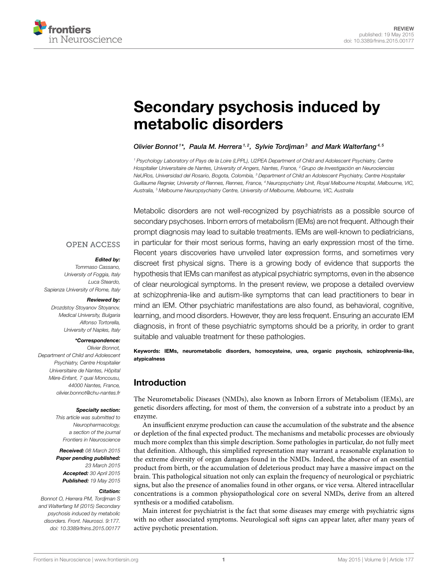

# [Secondary psychosis induced by](http://journal.frontiersin.org/article/10.3389/fnins.2015.00177/abstract) metabolic disorders

#### [Olivier Bonnot](http://community.frontiersin.org/people/u/231289)<sup>1\*</sup>, [Paula M. Herrera](http://community.frontiersin.org/people/u/123503)<sup>1,2</sup>, [Sylvie Tordjman](http://community.frontiersin.org/people/u/83064)<sup>3</sup> and [Mark Walterfang](http://community.frontiersin.org/people/u/39892)<sup>4,5</sup>

<sup>1</sup> Psychology Laboratory of Pays de la Loire (LPPL), U2PEA Department of Child and Adolescent Psychiatry, Centre Hospitalier Universitaire de Nantes, University of Angers, Nantes, France, <sup>2</sup> Grupo de Investigación en Neurociencias NeURos, Universidad del Rosario, Bogota, Colombia, <sup>3</sup> Department of Child an Adolescent Psychiatry, Centre Hospitalier Guillaume Regnier, University of Rennes, Rennes, France, <sup>4</sup> Neuropsychiatry Unit, Royal Melbourne Hospital, Melbourne, VIC, Australia, <sup>5</sup> Melbourne Neuropsychiatry Centre, University of Melbourne, Melbourne, VIC, Australia

Metabolic disorders are not well-recognized by psychiatrists as a possible source of secondary psychoses. Inborn errors of metabolism (IEMs) are not frequent. Although their prompt diagnosis may lead to suitable treatments. IEMs are well-known to pediatricians, in particular for their most serious forms, having an early expression most of the time. Recent years discoveries have unveiled later expression forms, and sometimes very discreet first physical signs. There is a growing body of evidence that supports the hypothesis that IEMs can manifest as atypical psychiatric symptoms, even in the absence of clear neurological symptoms. In the present review, we propose a detailed overview at schizophrenia-like and autism-like symptoms that can lead practitioners to bear in mind an IEM. Other psychiatric manifestations are also found, as behavioral, cognitive, learning, and mood disorders. However, they are less frequent. Ensuring an accurate IEM diagnosis, in front of these psychiatric symptoms should be a priority, in order to grant suitable and valuable treatment for these pathologies.

Keywords: IEMs, neurometabolic disorders, homocysteine, urea, organic psychosis, schizophrenia-like, atypicalness

### Introduction

The Neurometabolic Diseases (NMDs), also known as Inborn Errors of Metabolism (IEMs), are genetic disorders affecting, for most of them, the conversion of a substrate into a product by an enzyme.

An insufficient enzyme production can cause the accumulation of the substrate and the absence or depletion of the final expected product. The mechanisms and metabolic processes are obviously much more complex than this simple description. Some pathologies in particular, do not fully meet that definition. Although, this simplified representation may warrant a reasonable explanation to the extreme diversity of organ damages found in the NMDs. Indeed, the absence of an essential product from birth, or the accumulation of deleterious product may have a massive impact on the brain. This pathological situation not only can explain the frequency of neurological or psychiatric signs, but also the presence of anomalies found in other organs, or vice versa. Altered intracellular concentrations is a common physiopathological core on several NMDs, derive from an altered synthesis or a modified catabolism.

Main interest for psychiatrist is the fact that some diseases may emerge with psychiatric signs with no other associated symptoms. Neurological soft signs can appear later, after many years of active psychotic presentation.

#### **OPEN ACCESS**

#### Edited by:

Tommaso Cassano, University of Foggia, Italy Luca Steardo, Sapienza University of Rome, Italy

#### Reviewed by:

Drozdstoy Stoyanov Stoyanov, Medical University, Bulgaria Alfonso Tortorella, University of Naples, Italy

#### \*Correspondence:

Olivier Bonnot, Department of Child and Adolescent Psychiatry, Centre Hospitalier Universitaire de Nantes, Hôpital Mère-Enfant, 7 quai Moncousu, 44000 Nantes, France, [olivier.bonnot@chu-nantes.fr](mailto:olivier.bonnot@chu-nantes.fr)

#### Specialty section:

This article was submitted to Neuropharmacology, a section of the journal Frontiers in Neuroscience

Received: 08 March 2015 Paper pending published: 23 March 2015 Accepted: 30 April 2015 Published: 19 May 2015

#### Citation:

Bonnot O, Herrera PM, Tordjman S and Walterfang M (2015) Secondary psychosis induced by metabolic disorders. Front. Neurosci. 9:177. doi: [10.3389/fnins.2015.00177](http://dx.doi.org/10.3389/fnins.2015.00177)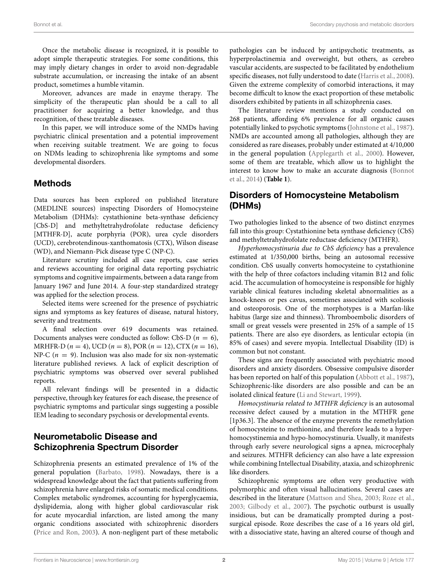Once the metabolic disease is recognized, it is possible to adopt simple therapeutic strategies. For some conditions, this may imply dietary changes in order to avoid non-degradable substrate accumulation, or increasing the intake of an absent product, sometimes a humble vitamin.

Moreover, advances are made in enzyme therapy. The simplicity of the therapeutic plan should be a call to all practitioner for acquiring a better knowledge, and thus recognition, of these treatable diseases.

In this paper, we will introduce some of the NMDs having psychiatric clinical presentation and a potential improvement when receiving suitable treatment. We are going to focus on NDMs leading to schizophrenia like symptoms and some developmental disorders.

### Methods

Data sources has been explored on published literature (MEDLINE sources) inspecting Disorders of Homocysteine Metabolism (DHMs): cystathionine beta-synthase deficiency [CbS-D] and methyltetrahydrofolate reductase deficiency [MTHFR-D], acute porphyria (POR), urea cycle disorders (UCD), cerebrotendinous-xanthomatosis (CTX), Wilson disease (WD), and Niemann-Pick disease type C (NP-C).

Literature scrutiny included all case reports, case series and reviews accounting for original data reporting psychiatric symptoms and cognitive impairments, between a data range from January 1967 and June 2014. A four-step standardized strategy was applied for the selection process.

Selected items were screened for the presence of psychiatric signs and symptoms as key features of disease, natural history, severity and treatments.

A final selection over 619 documents was retained. Documents analyses were conducted as follow: CbS-D ( $n = 6$ ), MRHFR-D ( $n = 4$ ), UCD ( $n = 8$ ), POR ( $n = 12$ ), CTX ( $n = 16$ ), NP-C ( $n = 9$ ). Inclusion was also made for six non-systematic literature published reviews. A lack of explicit description of psychiatric symptoms was observed over several published reports.

All relevant findings will be presented in a didactic perspective, through key features for each disease, the presence of psychiatric symptoms and particular sings suggesting a possible IEM leading to secondary psychosis or developmental events.

# Neurometabolic Disease and Schizophrenia Spectrum Disorder

Schizophrenia presents an estimated prevalence of 1% of the general population [\(Barbato, 1998\)](#page-6-0). Nowadays, there is a widespread knowledge about the fact that patients suffering from schizophrenia have enlarged risks of somatic medical conditions. Complex metabolic syndromes, accounting for hyperglycaemia, dyslipidemia, along with higher global cardiovascular risk for acute myocardial infarction, are listed among the many organic conditions associated with schizophrenic disorders [\(Price and Ron, 2003\)](#page-7-0). A non-negligent part of these metabolic pathologies can be induced by antipsychotic treatments, as hyperprolactinemia and overweight, but others, as cerebro vascular accidents, are suspected to be facilitated by endothelium specific diseases, not fully understood to date [\(Harris et al., 2008\)](#page-6-1). Given the extreme complexity of comorbid interactions, it may become difficult to know the exact proportion of these metabolic disorders exhibited by patients in all schizophrenia cases.

The literature review mentions a study conducted on 268 patients, affording 6% prevalence for all organic causes potentially linked to psychotic symptoms [\(Johnstone et al., 1987\)](#page-6-2). NMDs are accounted among all pathologies, although they are considered as rare diseases, probably under estimated at 4/10,000 in the general population [\(Applegarth et al., 2000\)](#page-6-3). However, some of them are treatable, which allow us to highlight the interest to know how to make an accurate diagnosis (Bonnot et al., [2014\)](#page-6-4) (**[Table 1](#page-2-0)**).

# Disorders of Homocysteine Metabolism (DHMs)

Two pathologies linked to the absence of two distinct enzymes fall into this group: Cystathionine beta synthase deficiency (CbS) and methyltetrahydrofolate reductase deficiency (MTHFR).

Hyperhomocystinuria due to CbS deficiency has a prevalence estimated at 1/350,000 births, being an autosomal recessive condition. CbS usually converts homocysteine to cystathionine with the help of three cofactors including vitamin B12 and folic acid. The accumulation of homocysteine is responsible for highly variable clinical features including skeletal abnormalities as a knock-knees or pes cavus, sometimes associated with scoliosis and osteoporosis. One of the morphotypes is a Marfan-like habitus (large size and thinness). Thromboembolic disorders of small or great vessels were presented in 25% of a sample of 15 patients. There are also eye disorders, as lenticular ectopia (in 85% of cases) and severe myopia. Intellectual Disability (ID) is common but not constant.

These signs are frequently associated with psychiatric mood disorders and anxiety disorders. Obsessive compulsive disorder has been reported on half of this population [\(Abbott et al., 1987\)](#page-6-5), Schizophrenic-like disorders are also possible and can be an isolated clinical feature [\(Li and Stewart, 1999\)](#page-6-6).

Homocystinuria related to MTHFR deficiency is an autosomal recessive defect caused by a mutation in the MTHFR gene [1p36.3]. The absence of the enzyme prevents the remethylation of homocysteine to methionine, and therefore leads to a hyperhomocystinemia and hypo-homocystinuria. Usually, it manifests through early severe neurological signs a apnea, microcephaly and seizures. MTHFR deficiency can also have a late expression while combining Intellectual Disability, ataxia, and schizophrenic like disorders.

Schizophrenic symptoms are often very productive with polymorphic and often visual hallucinations. Several cases are described in the literature [\(Mattson and Shea, 2003;](#page-7-1) [Roze et al.,](#page-7-2) [2003;](#page-7-2) [Gilbody et al., 2007\)](#page-6-7). The psychotic outburst is usually insidious, but can be dramatically prompted during a postsurgical episode. Roze describes the case of a 16 years old girl, with a dissociative state, having an altered course of though and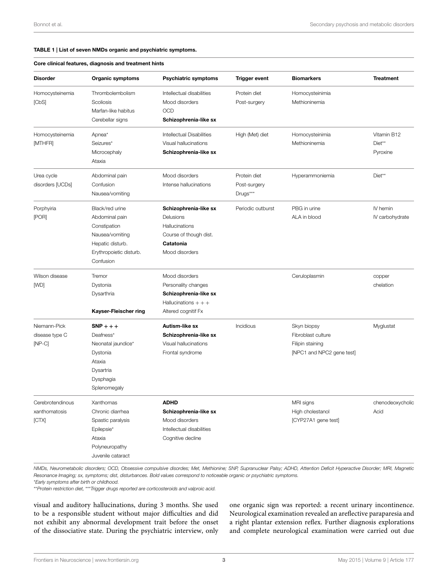#### <span id="page-2-0"></span>TABLE 1 | List of seven NMDs organic and psychiatric symptoms.

### Core clinical features, diagnosis and treatment hints Disorder Organic symptoms Psychiatric symptoms Trigger event Biomarkers Treatment Homocysteinemia Thrombolembolism Intellectual disabilities Protein diet Homocysteinimia [CbS] Scoliosis Mood disorders Post-surgery Methioninemia Marfan-like habitus OCD Cerebellar signs **Schizophrenia-like sx** Homocysteinemia Apnea\* Intellectual Disabilities High (Met) diet Homocysteinimia Vitamin B12 [MTHFR] Seizures\* Visual hallucinations Methioninemia Diet\*\* Microcephaly **Schizophrenia-like sx Pyroxine** Pyroxine Ataxia Urea cycle Abdominal pain Mood disorders Protein diet Hyperammoniemia Diet\*\* disorders [UCDs] Confusion Contrastion Intense hallucinations Post-surgery Nausea/vomiting Drugs\*\*\* Porphyiria Black/red urine **Schizophrenia-like sx** Periodic outburst PBG in urine IV hemin [POR] Abdominal pain Delusions ALA in blood IV carbohydrate Constipation Hallucinations Nausea/vomiting Course of though dist. Hepatic disturb. **Catatonia** Erythropoietic disturb. Mood disorders Confusion Wilson disease Tremor Mood disorders Ceruloplasmin copper [WD] Dystonia Personality changes chelation Dysarthria **Schizophrenia-like sx** Hallucinations  $++$ Kayser-Fleischer ring Altered cognitif Fx Niemann-Pick **SNP + + + Autism-like sx** Incidious Skyn biopsy **Standight Skyn biopsy** Myglustat disease type C Deafness\* **Schizophrenia-like sx** Fibroblast culture [NP-C] Neonatal jaundice\* Visual hallucinations Filipin staining Dystonia **Example 2018** Frontal syndrome **and Syndrome** [NPC1 and NPC2 gene test] Ataxia Dysartria Dysphagia Splenomegaly Cerebrotendinous Xanthomas **ADHD ADHD** ADHO MRI signs MEN signs chenodeoxycholic xanthomatosis Chronic diarrhea **Schizophrenia-like sx** High cholestanol Acid [CTX] Spastic paralysis Mood disorders Mood context and the ICYP27A1 gene test] Epilepsie\* Intellectual disabilities Ataxia Cognitive decline Polyneuropathy Juvenile cataract

NMDs, Neurometabolic disorders; OCD, Obsessive compulsive disordes; Met, Methionine; SNP, Supranuclear Palsy; ADHD, Attention Deficit Hyperactive Disorder; MRI, Magnetic Resonance Imaging; sx, symptoms; dist, disturbances. Bold values correspond to noticeable organic or psychiatric symptoms.

\*Early symptoms after birth or childhood.

\*\*Protein restriction diet, \*\*\*Trigger drugs reported are corticosteroids and valproic acid.

visual and auditory hallucinations, during 3 months. She used to be a responsible student without major difficulties and did not exhibit any abnormal development trait before the onset of the dissociative state. During the psychiatric interview, only one organic sign was reported: a recent urinary incontinence. Neurological examination revealed an areflective paraparesia and a right plantar extension reflex. Further diagnosis explorations and complete neurological examination were carried out due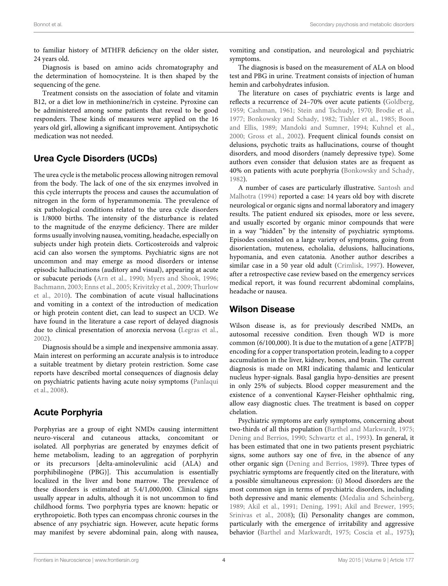to familiar history of MTHFR deficiency on the older sister, 24 years old.

Diagnosis is based on amino acids chromatography and the determination of homocysteine. It is then shaped by the sequencing of the gene.

Treatment consists on the association of folate and vitamin B12, or a diet low in methionine/rich in cysteine. Pyroxine can be administered among some patients that reveal to be good responders. These kinds of measures were applied on the 16 years old girl, allowing a significant improvement. Antipsychotic medication was not needed.

# Urea Cycle Disorders (UCDs)

The urea cycle is the metabolic process allowing nitrogen removal from the body. The lack of one of the six enzymes involved in this cycle interrupts the process and causes the accumulation of nitrogen in the form of hyperammonemia. The prevalence of six pathological conditions related to the urea cycle disorders is 1/8000 births. The intensity of the disturbance is related to the magnitude of the enzyme deficiency. There are milder forms usually involving nausea, vomiting, headache, especially on subjects under high protein diets. Corticosteroids and valproic acid can also worsen the symptoms. Psychiatric signs are not uncommon and may emerge as mood disorders or intense episodic hallucinations (auditory and visual), appearing at acute or subacute periods [\(Arn et al., 1990;](#page-6-8) [Myers and Shook, 1996;](#page-7-3) [Bachmann, 2003;](#page-6-9) [Enns et al., 2005;](#page-6-10) [Krivitzky et al., 2009;](#page-6-11) Thurlow et al., [2010\)](#page-7-4). The combination of acute visual hallucinations and vomiting in a context of the introduction of medication or high protein content diet, can lead to suspect an UCD. We have found in the literature a case report of delayed diagnosis due to clinical presentation of anorexia nervosa [\(Legras et al.,](#page-6-12) [2002\)](#page-6-12).

Diagnosis should be a simple and inexpensive ammonia assay. Main interest on performing an accurate analysis is to introduce a suitable treatment by dietary protein restriction. Some case reports have described mortal consequences of diagnosis delay on psychiatric patients having acute noisy symptoms (Panlaqui et al., [2008\)](#page-7-5).

# Acute Porphyria

Porphyrias are a group of eight NMDs causing intermittent neuro-visceral and cutaneous attacks, concomitant or isolated. All porphyrias are generated by enzymes deficit of heme metabolism, leading to an aggregation of porphyrin or its precursors [delta-aminolevulinic acid (ALA) and porphibilinogène (PBG)]. This accumulation is essentially localized in the liver and bone marrow. The prevalence of these disorders is estimated at 5.4/1,000,000. Clinical signs usually appear in adults, although it is not uncommon to find childhood forms. Two porphyria types are known: hepatic or erythropoietic. Both types can encompass chronic courses in the absence of any psychiatric sign. However, acute hepatic forms may manifest by severe abdominal pain, along with nausea, vomiting and constipation, and neurological and psychiatric symptoms.

The diagnosis is based on the measurement of ALA on blood test and PBG in urine. Treatment consists of injection of human hemin and carbohydrates infusion.

The literature on cases of psychiatric events is large and reflects a recurrence of 24–70% over acute patients [\(Goldberg,](#page-6-13) [1959;](#page-6-13) [Cashman, 1961;](#page-6-14) [Stein and Tschudy, 1970;](#page-7-6) [Brodie et al.,](#page-6-15) [1977;](#page-6-15) [Bonkowsky and Schady, 1982;](#page-6-16) [Tishler et al., 1985;](#page-7-7) Boon and Ellis, [1989;](#page-6-17) [Mandoki and Sumner, 1994;](#page-6-18) [Kuhnel et al.,](#page-6-19) [2000;](#page-6-19) [Gross et al., 2002\)](#page-6-20). Frequent clinical founds consist on delusions, psychotic traits as hallucinations, course of thought disorders, and mood disorders (namely depressive type). Some authors even consider that delusion states are as frequent as 40% on patients with acute porphyria [\(Bonkowsky and Schady,](#page-6-16) [1982\)](#page-6-16).

A number of cases are particularly illustrative. Santosh and Malhotra [\(1994\)](#page-7-8) reported a case: 14 years old boy with discrete neurological or organic signs and normal laboratory and imagery results. The patient endured six episodes, more or less severe, and usually escorted by organic minor compounds that were in a way "hidden" by the intensity of psychiatric symptoms. Episodes consisted on a large variety of symptoms, going from disorientation, muteness, echolalia, delusions, hallucinations, hypomania, and even catatonia. Another author describes a similar case in a 50 year old adult [\(Crimlisk, 1997\)](#page-6-21). However, after a retrospective case review based on the emergency services medical report, it was found recurrent abdominal complains, headache or nausea.

# Wilson Disease

Wilson disease is, as for previously described NMDs, an autosomal recessive condition. Even though WD is more common (6/100,000). It is due to the mutation of a gene [ATP7B] encoding for a copper transportation protein, leading to a copper accumulation in the liver, kidney, bones, and brain. The current diagnosis is made on MRI indicating thalamic and lenticular nucleus hyper-signals. Basal ganglia hypo-densities are present in only 25% of subjects. Blood copper measurement and the existence of a conventional Kayser-Fleisher ophthalmic ring, allow easy diagnostic clues. The treatment is based on copper chelation.

Psychiatric symptoms are early symptoms, concerning about two-thirds of all this population [\(Barthel and Markwardt, 1975;](#page-6-22) [Dening and Berrios, 1990;](#page-6-23) [Schwartz et al., 1993\)](#page-7-9). In general, it has been estimated that one in two patients present psychiatric signs, some authors say one of five, in the absence of any other organic sign [\(Dening and Berrios, 1989\)](#page-6-24). Three types of psychiatric symptoms are frequently cited on the literature, with a possible simultaneous expression: (i) Mood disorders are the most common sign in terms of psychiatric disorders, including both depressive and manic elements: [\(Medalia and Scheinberg,](#page-7-10) [1989;](#page-7-10) [Akil et al., 1991;](#page-6-25) [Dening, 1991;](#page-6-26) [Akil and Brewer, 1995;](#page-6-27) [Srinivas et al., 2008\)](#page-7-11); (Ii) Personality changes are common, particularly with the emergence of irritability and aggressive behavior [\(Barthel and Markwardt, 1975;](#page-6-22) [Coscia et al., 1975\)](#page-6-28);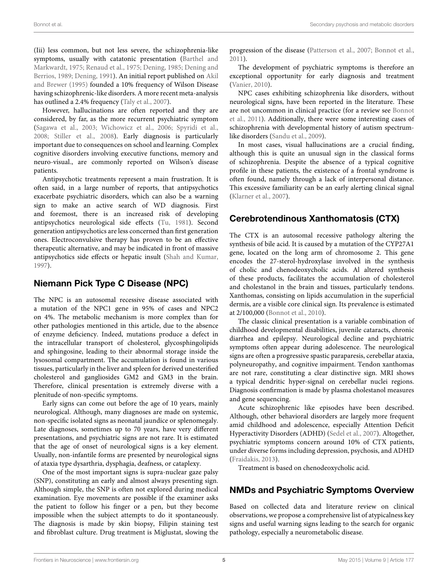(Iii) less common, but not less severe, the schizophrenia-like symptoms, usually with catatonic presentation (Barthel and Markwardt, [1975;](#page-6-22) [Renaud et al., 1975;](#page-7-12) [Dening, 1985;](#page-6-29) Dening and Berrios, [1989;](#page-6-24) [Dening, 1991\)](#page-6-26). An initial report published on Akil and Brewer [\(1995\)](#page-6-27) founded a 10% frequency of Wilson Disease having schizophrenic-like disorders. A more recent meta-analysis has outlined a 2.4% frequency [\(Taly et al., 2007\)](#page-7-13).

However, hallucinations are often reported and they are considered, by far, as the more recurrent psychiatric symptom [\(Sagawa et al., 2003;](#page-7-14) [Wichowicz et al., 2006;](#page-7-15) [Spyridi et al.,](#page-7-16) [2008;](#page-7-16) [Stiller et al., 2008\)](#page-7-17). Early diagnosis is particularly important due to consequences on school and learning. Complex cognitive disorders involving executive functions, memory and neuro-visual., are commonly reported on Wilson's disease patients.

Antipsychotic treatments represent a main frustration. It is often said, in a large number of reports, that antipsychotics exacerbate psychiatric disorders, which can also be a warning sign to make an active search of WD diagnosis. First and foremost, there is an increased risk of developing antipsychotics neurological side effects [\(Tu, 1981\)](#page-7-18). Second generation antipsychotics are less concerned than first generation ones. Electroconvulsive therapy has proven to be an effective therapeutic alternative, and may be indicated in front of massive antipsychotics side effects or hepatic insult [\(Shah and Kumar,](#page-7-19) [1997\)](#page-7-19).

# Niemann Pick Type C Disease (NPC)

The NPC is an autosomal recessive disease associated with a mutation of the NPC1 gene in 95% of cases and NPC2 on 4%. The metabolic mechanism is more complex than for other pathologies mentioned in this article, due to the absence of enzyme deficiency. Indeed, mutations produce a defect in the intracellular transport of cholesterol, glycosphingolipids and sphingosine, leading to their abnormal storage inside the lysosomal compartment. The accumulation is found in various tissues, particularly in the liver and spleen for derived unesterified cholesterol and gangliosides GM2 and GM3 in the brain. Therefore, clinical presentation is extremely diverse with a plenitude of non-specific symptoms.

Early signs can come out before the age of 10 years, mainly neurological. Although, many diagnoses are made on systemic, non-specific isolated signs as neonatal jaundice or splenomegaly. Late diagnoses, sometimes up to 70 years, have very different presentations, and psychiatric signs are not rare. It is estimated that the age of onset of neurological signs is a key element. Usually, non-infantile forms are presented by neurological signs of ataxia type dysarthria, dysphagia, deafness, or cataplexy.

One of the most important signs is supra-nuclear gaze palsy (SNP), constituting an early and almost always presenting sign. Although simple, the SNP is often not explored during medical examination. Eye movements are possible if the examiner asks the patient to follow his finger or a pen, but they become impossible when the subject attempts to do it spontaneously. The diagnosis is made by skin biopsy, Filipin staining test and fibroblast culture. Drug treatment is Miglustat, slowing the progression of the disease [\(Patterson et al., 2007;](#page-7-20) [Bonnot et al.,](#page-6-30) [2011\)](#page-6-30).

The development of psychiatric symptoms is therefore an exceptional opportunity for early diagnosis and treatment [\(Vanier, 2010\)](#page-7-21).

NPC cases exhibiting schizophrenia like disorders, without neurological signs, have been reported in the literature. These are not uncommon in clinical practice (for a review see Bonnot et al., [2011\)](#page-6-30). Additionally, there were some interesting cases of schizophrenia with developmental history of autism spectrumlike disorders [\(Sandu et al., 2009\)](#page-7-22).

In most cases, visual hallucinations are a crucial finding, although this is quite an unusual sign in the classical forms of schizophrenia. Despite the absence of a typical cognitive profile in these patients, the existence of a frontal syndrome is often found, namely through a lack of interpersonal distance. This excessive familiarity can be an early alerting clinical signal [\(Klarner et al., 2007\)](#page-6-31).

# Cerebrotendinous Xanthomatosis (CTX)

The CTX is an autosomal recessive pathology altering the synthesis of bile acid. It is caused by a mutation of the CYP27A1 gene, located on the long arm of chromosome 2. This gene encodes the 27-sterol-hydroxylase involved in the synthesis of cholic and chenodeoxycholic acids. Al altered synthesis of these products, facilitates the accumulation of cholesterol and cholestanol in the brain and tissues, particularly tendons. Xanthomas, consisting on lipids accumulation in the superficial dermis, are a visible core clinical sign. Its prevalence is estimated at 2/100,000 [\(Bonnot et al., 2010\)](#page-6-32).

The classic clinical presentation is a variable combination of childhood developmental disabilities, juvenile cataracts, chronic diarrhea and epilepsy. Neurological decline and psychiatric symptoms often appear during adolescence. The neurological signs are often a progressive spastic paraparesis, cerebellar ataxia, polyneuropathy, and cognitive impairment. Tendon xanthomas are not rare, constituting a clear distinctive sign. MRI shows a typical dendritic hyper-signal on cerebellar nuclei regions. Diagnosis confirmation is made by plasma cholestanol measures and gene sequencing.

Acute schizophrenic like episodes have been described. Although, other behavioral disorders are largely more frequent amid childhood and adolescence, especially Attention Deficit Hyperactivity Disorders (ADHD) [\(Sedel et al., 2007\)](#page-7-23). Altogether, psychiatric symptoms concern around 10% of CTX patients, under diverse forms including depression, psychosis, and ADHD [\(Fraidakis, 2013\)](#page-6-33).

Treatment is based on chenodeoxycholic acid.

# NMDs and Psychiatric Symptoms Overview

Based on collected data and literature review on clinical observations, we propose a comprehensive list of atypicalness key signs and useful warning signs leading to the search for organic pathology, especially a neurometabolic disease.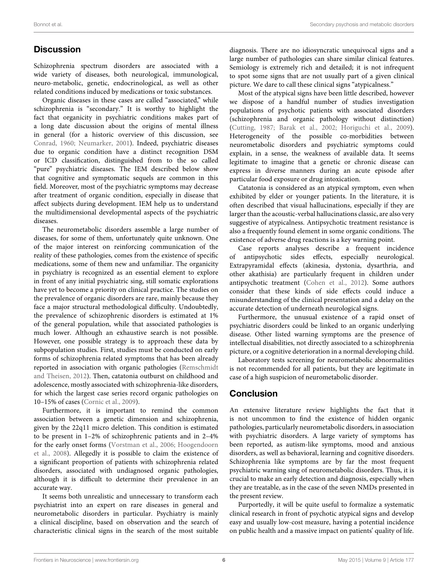# **Discussion**

Schizophrenia spectrum disorders are associated with a wide variety of diseases, both neurological, immunological, neuro-metabolic, genetic, endocrinological, as well as other related conditions induced by medications or toxic substances.

Organic diseases in these cases are called "associated," while schizophrenia is "secondary." It is worthy to highlight the fact that organicity in psychiatric conditions makes part of a long date discussion about the origins of mental illness in general (for a historic overview of this discussion, see [Conrad, 1960;](#page-6-34) [Neumarker, 2001\)](#page-7-24). Indeed, psychiatric diseases due to organic condition have a distinct recognition DSM or ICD classification, distinguished from to the so called "pure" psychiatric diseases. The IEM described below show that cognitive and symptomatic sequels are common in this field. Moreover, most of the psychiatric symptoms may decrease after treatment of organic condition, especially in disease that affect subjects during development. IEM help us to understand the multidimensional developmental aspects of the psychiatric diseases.

The neurometabolic disorders assemble a large number of diseases, for some of them, unfortunately quite unknown. One of the major interest on reinforcing communication of the reality of these pathologies, comes from the existence of specific medications, some of them new and unfamiliar. The organicity in psychiatry is recognized as an essential element to explore in front of any initial psychiatric sing, still somatic explorations have yet to become a priority on clinical practice. The studies on the prevalence of organic disorders are rare, mainly because they face a major structural methodological difficulty. Undoubtedly, the prevalence of schizophrenic disorders is estimated at 1% of the general population, while that associated pathologies is much lower. Although an exhaustive search is not possible. However, one possible strategy is to approach these data by subpopulation studies. First, studies must be conducted on early forms of schizophrenia related symptoms that has been already reported in association with organic pathologies (Remschmidt and Theisen, [2012\)](#page-7-25). Then, catatonia outburst on childhood and adolescence, mostly associated with schizophrenia-like disorders, for which the largest case series record organic pathologies on 10–15% of cases [\(Cornic et al., 2009\)](#page-6-35).

Furthermore, it is important to remind the common association between a genetic dimension and schizophrenia, given by the 22q11 micro deletion. This condition is estimated to be present in 1–2% of schizophrenic patients and in 2–4% for the early onset forms [\(Vorstman et al., 2006;](#page-7-26) Hoogendoorn et al., [2008\)](#page-6-36). Allegedly it is possible to claim the existence of a significant proportion of patients with schizophrenia related disorders, associated with undiagnosed organic pathologies, although it is difficult to determine their prevalence in an accurate way.

It seems both unrealistic and unnecessary to transform each psychiatrist into an expert on rare diseases in general and neurometabolic disorders in particular. Psychiatry is mainly a clinical discipline, based on observation and the search of characteristic clinical signs in the search of the most suitable diagnosis. There are no idiosyncratic unequivocal signs and a large number of pathologies can share similar clinical features. Semiology is extremely rich and detailed; it is not infrequent to spot some signs that are not usually part of a given clinical picture. We dare to call these clinical signs "atypicalness."

Most of the atypical signs have been little described, however we dispose of a handful number of studies investigation populations of psychotic patients with associated disorders (schizophrenia and organic pathology without distinction) [\(Cutting, 1987;](#page-6-37) [Barak et al., 2002;](#page-6-38) [Horiguchi et al., 2009\)](#page-6-39). Heterogeneity of the possible co-morbidities between neurometabolic disorders and psychiatric symptoms could explain, in a sense, the weakness of available data. It seems legitimate to imagine that a genetic or chronic disease can express in diverse manners during an acute episode after particular food exposure or drug intoxication.

Catatonia is considered as an atypical symptom, even when exhibited by elder or younger patients. In the literature, it is often described that visual hallucinations, especially if they are larger than the acoustic-verbal hallucinations classic, are also very suggestive of atypicalness. Antipsychotic treatment resistance is also a frequently found element in some organic conditions. The existence of adverse drug reactions is a key warning point.

Case reports analyses describe a frequent incidence of antipsychotic sides effects, especially neurological. Extrapyramidal effects (akinesia, dystonia, dysarthria, and other akathisia) are particularly frequent in children under antipsychotic treatment [\(Cohen et al., 2012\)](#page-6-40). Some authors consider that these kinds of side effects could induce a misunderstanding of the clinical presentation and a delay on the accurate detection of underneath neurological signs.

Furthermore, the unusual existence of a rapid onset of psychiatric disorders could be linked to an organic underlying disease. Other listed warning symptoms are the presence of intellectual disabilities, not directly associated to a schizophrenia picture, or a cognitive deterioration in a normal developing child.

Laboratory tests screening for neurometabolic abnormalities is not recommended for all patients, but they are legitimate in case of a high suspicion of neurometabolic disorder.

# Conclusion

An extensive literature review highlights the fact that it is not uncommon to find the existence of hidden organic pathologies, particularly neurometabolic disorders, in association with psychiatric disorders. A large variety of symptoms has been reported, as autism-like symptoms, mood and anxious disorders, as well as behavioral, learning and cognitive disorders. Schizophrenia like symptoms are by far the most frequent psychiatric warning sing of neurometabolic disorders. Thus, it is crucial to make an early detection and diagnosis, especially when they are treatable, as in the case of the seven NMDs presented in the present review.

Purportedly, it will be quite useful to formalize a systematic clinical research in front of psychotic atypical signs and develop easy and usually low-cost measure, having a potential incidence on public health and a massive impact on patients' quality of life.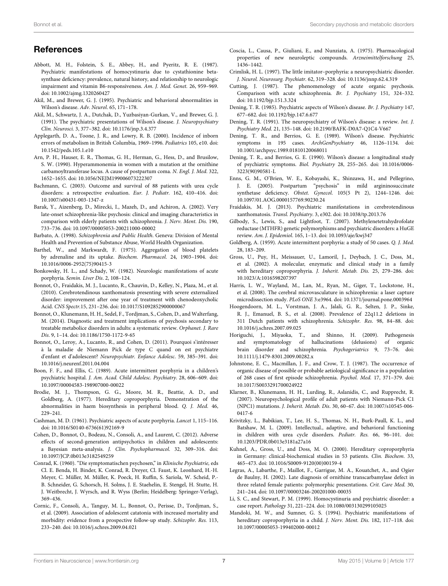# References

- <span id="page-6-5"></span>Abbott, M. H., Folstein, S. E., Abbey, H., and Pyeritz, R. E. (1987). Psychiatric manifestations of homocystinuria due to cystathionine betasynthase deficiency: prevalence, natural history, and relationship to neurologic impairment and vitamin B6-responsiveness. Am. J. Med. Genet. 26, 959–969. doi: 10.1002/ajmg.1320260427
- <span id="page-6-27"></span>Akil, M., and Brewer, G. J. (1995). Psychiatric and behavioral abnormalities in Wilson's disease. Adv. Neurol. 65, 171–178.
- <span id="page-6-25"></span>Akil, M., Schwartz, J. A., Dutchak, D., Yuzbasiyan-Gurkan, V., and Brewer, G. J. (1991). The psychiatric presentations of Wilson's disease. J. Neuropsychiatry Clin. Neurosci. 3, 377–382. doi: 10.1176/jnp.3.4.377
- <span id="page-6-3"></span>Applegarth, D. A., Toone, J. R., and Lowry, R. B. (2000). Incidence of inborn errors of metabolism in British Columbia, 1969–1996. Pediatrics 105, e10. doi: 10.1542/peds.105.1.e10
- <span id="page-6-8"></span>Arn, P. H., Hauser, E. R., Thomas, G. H., Herman, G., Hess, D., and Brusilow, S. W. (1990). Hyperammonemia in women with a mutation at the ornithine carbamoyltransferase locus. A cause of postpartum coma. N. Engl. J. Med. 322, 1652–1655. doi: 10.1056/NEJM199006073222307
- <span id="page-6-9"></span>Bachmann, C. (2003). Outcome and survival of 88 patients with urea cycle disorders: a retrospective evaluation. Eur. J. Pediatr. 162, 410–416. doi: 10.1007/s00431-003-1347-z
- <span id="page-6-38"></span>Barak, Y., Aizenberg, D., Mirecki, I., Mazeh, D., and Achiron, A. (2002). Very late-onset schizophrenia-like psychosis: clinical and imaging characteristics in comparison with elderly patients with schizophrenia. J. Nerv. Ment. Dis. 190, 733–736. doi: 10.1097/00005053-200211000-00002
- <span id="page-6-0"></span>Barbato, A. (1998). Schizophrenia and Public Health. Geneva: Division of Mental Health and Prevention of Substance Abuse, World Health Organization.
- <span id="page-6-22"></span>Barthel, W., and Markwardt, F. (1975). Aggregation of blood platelets by adrenaline and its uptake. Biochem. Pharmacol. 24, 1903–1904. doi: 10.1016/0006-2952(75)90415-3
- <span id="page-6-16"></span>Bonkowsky, H. L., and Schady, W. (1982). Neurologic manifestations of acute porphyria. Semin. Liver Dis. 2, 108–124.
- <span id="page-6-32"></span>Bonnot, O., Fraidakis, M. J., Lucanto, R., Chauvin, D., Kelley, N., Plaza, M., et al. (2010). Cerebrotendinous xanthomatosis presenting with severe externalized disorder: improvement after one year of treatment with chenodeoxycholic Acid. CNS Spectr.15, 231–236. doi: 10.1017/S1092852900000067
- <span id="page-6-4"></span>Bonnot, O., Klunemann, H. H., Sedel, F., Tordjman, S., Cohen, D., and Walterfang, M. (2014). Diagnostic and treatment implications of psychosis secondary to treatable metabolice disorders in adults: a systematic review. Orphanet. J. Rare Dis. 9, 1–14. doi: 10.1186/1750-1172-9-65
- <span id="page-6-30"></span>Bonnot, O., Leroy, A., Lucanto, R., and Cohen, D. (2011). Pourquoi s'intéresser à la maladie de Niemann Pick de type C quand on est psychiatre d'enfant et d'adolescent? Neuropsychiatr. Enfance Adolesc. 59, 385–391. doi: 10.1016/j.neurenf.2011.04.004
- <span id="page-6-17"></span>Boon, F. F., and Ellis, C. (1989). Acute intermittent porphyria in a children's psychiatric hospital. J. Am. Acad. Child Adolesc. Psychiatry. 28, 606–609. doi: 10.1097/00004583-198907000-00022
- <span id="page-6-15"></span>Brodie, M. J., Thompson, G. G., Moore, M. R., Beattie, A. D., and Goldberg, A. (1977). Hereditary coproporphyria. Demonstration of the abnormalities in haem biosynthesis in peripheral blood. Q. J. Med. 46, 229–241.
- <span id="page-6-14"></span>Cashman, M. D. (1961). Psychiatric aspects of acute porphyria. Lancet 1, 115–116. doi: 10.1016/S0140-6736(61)92169-9
- <span id="page-6-40"></span>Cohen, D., Bonnot, O., Bodeau, N., Consoli, A., and Laurent, C. (2012). Adverse effects of second-generation antipsychotics in children and adolescents: a Bayesian meta-analysis. J. Clin. Psychopharmacol. 32, 309–316. doi: 10.1097/JCP.0b013e3182549259
- <span id="page-6-34"></span>Conrad, K. (1960). "Die symptomatischen psychosen," in Klinische Psychiatrie, eds Cl. E. Benda, H. Binder, K. Conrad, R. Dreyer, Cl. Faust, K. Leonhard, H.-H. Meyer, C. Müller, M. Müller, K. Poeck, H. Ruffin, S. Sariola, W. Scheid, P.- B. Schneider, G. Schorsch, H. Solms, J. E. Staehelin, E. Stengel, H. Stutte, H. J. Weitbrecht, J. Wyrsch, and R. Wyss (Berlin; Heidelberg: Springer-Verlag), 369–436.
- <span id="page-6-35"></span>Cornic, F., Consoli, A., Tanguy, M. L., Bonnot, O., Perisse, D., Tordjman, S., et al. (2009). Association of adolescent catatonia with increased mortality and morbidity: evidence from a prospective follow-up study. Schizophr. Res. 113, 233–240. doi: 10.1016/j.schres.2009.04.021
- <span id="page-6-28"></span>Coscia, L., Causa, P., Giuliani, E., and Nunziata, A. (1975). Pharmacological properties of new neuroleptic compounds. Arzneimittelforschung 25, 1436–1442.
- <span id="page-6-21"></span>Crimlisk, H. L. (1997). The little imitator–porphyria: a neuropsychiatric disorder. J. Neurol. Neurosurg. Psychiatr. 62, 319–328. doi: 10.1136/jnnp.62.4.319
- <span id="page-6-37"></span>Cutting, J. (1987). The phenomenology of acute organic psychosis. Comparison with acute schizophrenia. Br. J. Psychiatry 151, 324–332. doi: 10.1192/bjp.151.3.324
- <span id="page-6-29"></span>Dening, T. R. (1985). Psychiatric aspects of Wilson's disease. Br. J. Psychiatry 147, 677–682. doi: 10.1192/bjp.147.6.677
- <span id="page-6-26"></span>Dening, T. R. (1991). The neuropsychiatry of Wilson's disease: a review. Int. J. Psychiatry Med. 21, 135–148. doi: 10.2190/BAFK-D0A7-Q1C4-V667
- <span id="page-6-24"></span>Dening, T. R., and Berrios, G. E. (1989). Wilson's disease. Psychiatric symptoms in 195 cases. ArchGenPsychiatry 46, 1126–1134. doi: 10.1001/archpsyc.1989.01810120068011
- <span id="page-6-23"></span>Dening, T. R., and Berrios, G. E. (1990). Wilson's disease: a longitudinal study of psychiatric symptoms. Biol. Psychiatry 28, 255–265. doi: 10.1016/0006- 3223(90)90581-L
- <span id="page-6-10"></span>Enns, G. M., O'Brien, W. E., Kobayashi, K., Shinzawa, H., and Pellegrino, J. E. (2005). Postpartum "psychosis" in mild argininosuccinate synthetase deficiency. Obstet. Gynecol. 105(5 Pt 2), 1244–1246. doi: 10.1097/01.AOG.0000157769.90230.24
- <span id="page-6-33"></span>Fraidakis, M. J. (2013). Psychiatric manifestations in cerebrotendinous xanthomatosis. Transl. Psychiatry. 3, e302. doi: 10.1038/tp.2013.76
- <span id="page-6-7"></span>Gilbody, S., Lewis, S., and Lightfoot, T. (2007). Methylenetetrahydrofolate reductase (MTHFR) genetic polymorphisms and psychiatric disorders: a HuGE review. Am. J. Epidemiol. 165, 1–13. doi: 10.1093/aje/kwj347
- <span id="page-6-13"></span>Goldberg, A. (1959). Acute intermittent porphyria: a study of 50 cases. Q. J. Med. 28, 183–209.
- <span id="page-6-20"></span>Gross, U., Puy, H., Meissauer, U., Lamoril, J., Deybach, J. C., Doss, M., et al. (2002). A molecular, enzymatic and clinical study in a family with hereditary coproporphyria. J. Inherit. Metab. Dis. 25, 279–286. doi: 10.1023/A:1016598207397
- <span id="page-6-1"></span>Harris, L. W., Wayland, M., Lan, M., Ryan, M., Giger, T., Lockstone, H., et al. (2008). The cerebral microvasculature in schizophrenia: a laser capture microdissection study. PLoS ONE 3:e3964. doi: 10.1371/journal.pone.0003964
- <span id="page-6-36"></span>Hoogendoorn, M. L., Vorstman, J. A., Jalali, G. R., Selten, J. P., Sinke, R. J., Emanuel, B. S., et al. (2008). Prevalence of 22q11.2 deletions in 311 Dutch patients with schizophrenia. Schizophr. Res. 98, 84–88. doi: 10.1016/j.schres.2007.09.025
- <span id="page-6-39"></span>Horiguchi, J., Miyaoka, T., and Shinno, H. (2009). Pathogenesis and symptomatology of hallucinations (delusions) of organic brain disorder and schizophrenia. Psychogeriatrics 9, 73–76. doi: 10.1111/j.1479-8301.2009.00282.x
- <span id="page-6-2"></span>Johnstone, E. C., Macmillan, J. F., and Crow, T. J. (1987). The occurrence of organic disease of possible or probable aetiological significance in a population of 268 cases of first episode schizophrenia. Psychol. Med. 17, 371–379. doi: 10.1017/S0033291700024922
- <span id="page-6-31"></span>Klarner, B., Klunemann, H. H., Lurding, R., Aslanidis, C., and Rupprecht, R. (2007). Neuropsychological profile of adult patients with Niemann-Pick C1 (NPC1) mutations. J. Inherit. Metab. Dis. 30, 60–67. doi: 10.1007/s10545-006- 0417-6
- <span id="page-6-11"></span>Krivitzky, L., Babikian, T., Lee, H. S., Thomas, N. H., Burk-Paull, K. L., and Batshaw, M. L. (2009). Intellectual., adaptive, and behavioral functioning in children with urea cycle disorders. Pediatr. Res. 66, 96–101. doi: 10.1203/PDR.0b013e3181a27a16
- <span id="page-6-19"></span>Kuhnel, A., Gross, U., and Doss, M. O. (2000). Hereditary coproporphyria in Germany: clinical-biochemical studies in 53 patients. Clin. Biochem. 33, 465–473. doi: 10.1016/S0009-9120(00)00159-4
- <span id="page-6-12"></span>Legras, A., Labarthe, F., Maillot, F., Garrigue, M. A., Kouatchet, A., and Ogier de Baulny, H. (2002). Late diagnosis of ornithine transcarbamylase defect in three related female patients: polymorphic presentations. Crit. Care Med. 30, 241–244. doi: 10.1097/00003246-200201000-00035
- <span id="page-6-6"></span>Li, S. C., and Stewart, P. M. (1999). Homocystinuria and psychiatric disorder: a case report. Pathology 31, 221–224. doi: 10.1080/003130299105025
- <span id="page-6-18"></span>Mandoki, M. W., and Sumner, G. S. (1994). Psychiatric manifestations of hereditary coproporphyria in a child. J. Nerv. Ment. Dis. 182, 117–118. doi: 10.1097/00005053-199402000-00012